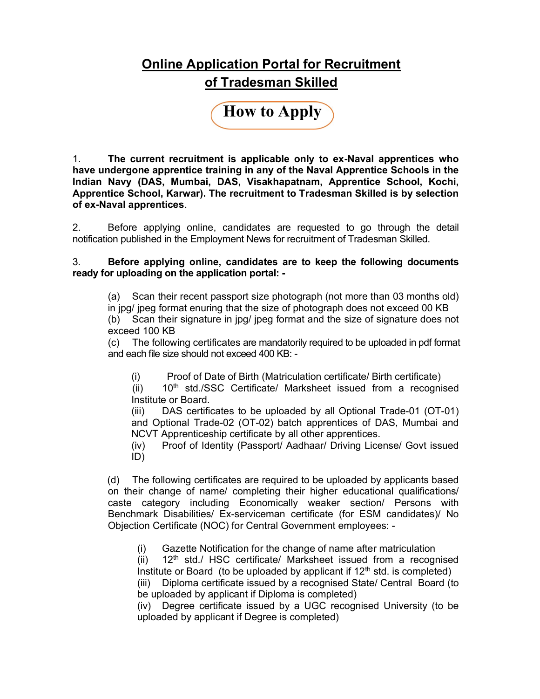#### Online Application Portal for Recruitment of Tradesman Skilled

How to Apply

1. The current recruitment is applicable only to ex-Naval apprentices who have undergone apprentice training in any of the Naval Apprentice Schools in the Indian Navy (DAS, Mumbai, DAS, Visakhapatnam, Apprentice School, Kochi, Apprentice School, Karwar). The recruitment to Tradesman Skilled is by selection of ex-Naval apprentices.

2. Before applying online, candidates are requested to go through the detail notification published in the Employment News for recruitment of Tradesman Skilled.

3. Before applying online, candidates are to keep the following documents ready for uploading on the application portal: -

(a) Scan their recent passport size photograph (not more than 03 months old) in jpg/ jpeg format enuring that the size of photograph does not exceed 00 KB (b) Scan their signature in jpg/ jpeg format and the size of signature does not exceed 100 KB

 (c) The following certificates are mandatorily required to be uploaded in pdf format and each file size should not exceed 400 KB: -

(i) Proof of Date of Birth (Matriculation certificate/ Birth certificate)

(ii)  $10<sup>th</sup>$  std./SSC Certificate/ Marksheet issued from a recognised Institute or Board.

 (iii) DAS certificates to be uploaded by all Optional Trade-01 (OT-01) and Optional Trade-02 (OT-02) batch apprentices of DAS, Mumbai and NCVT Apprenticeship certificate by all other apprentices.

 (iv) Proof of Identity (Passport/ Aadhaar/ Driving License/ Govt issued ID)

(d) The following certificates are required to be uploaded by applicants based on their change of name/ completing their higher educational qualifications/ caste category including Economically weaker section/ Persons with Benchmark Disabilities/ Ex-serviceman certificate (for ESM candidates)/ No Objection Certificate (NOC) for Central Government employees: -

(i) Gazette Notification for the change of name after matriculation

(ii)  $12<sup>th</sup>$  std./ HSC certificate/ Marksheet issued from a recognised Institute or Board (to be uploaded by applicant if  $12<sup>th</sup>$  std. is completed) (iii) Diploma certificate issued by a recognised State/ Central Board (to be uploaded by applicant if Diploma is completed)

 (iv) Degree certificate issued by a UGC recognised University (to be uploaded by applicant if Degree is completed)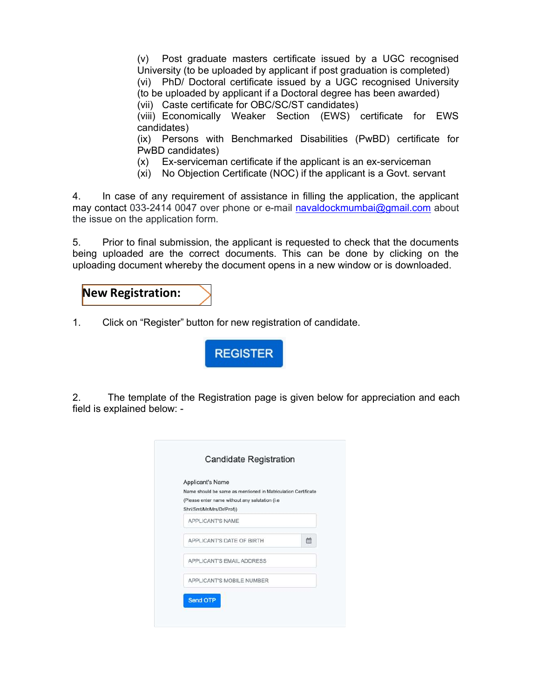(v) Post graduate masters certificate issued by a UGC recognised University (to be uploaded by applicant if post graduation is completed) (vi) PhD/ Doctoral certificate issued by a UGC recognised University (to be uploaded by applicant if a Doctoral degree has been awarded)

(vii) Caste certificate for OBC/SC/ST candidates)

 (viii) Economically Weaker Section (EWS) certificate for EWS candidates)

 (ix) Persons with Benchmarked Disabilities (PwBD) certificate for PwBD candidates)

- (x) Ex-serviceman certificate if the applicant is an ex-serviceman
- (xi) No Objection Certificate (NOC) if the applicant is a Govt. servant

4. In case of any requirement of assistance in filling the application, the applicant may contact 033-2414 0047 over phone or e-mail navaldockmumbai@gmail.com about the issue on the application form.

5. Prior to final submission, the applicant is requested to check that the documents being uploaded are the correct documents. This can be done by clicking on the uploading document whereby the document opens in a new window or is downloaded.

#### New Registration:

1. Click on "Register" button for new registration of candidate.



2. The template of the Registration page is given below for appreciation and each field is explained below: -

| Applicant's Name<br>Name should be same as mentioned in Matriculation Certificate<br>(Please enter name without any salutation (i.e.<br>Shri/Smt/Mr/Mrs/Dr/Prof)) |   |
|-------------------------------------------------------------------------------------------------------------------------------------------------------------------|---|
| APPLICANT'S NAME                                                                                                                                                  |   |
| APPLICANT'S DATE OF BIRTH                                                                                                                                         | 雦 |
| APPLICANT'S EMAIL ADDRESS                                                                                                                                         |   |
| APPLICANT'S MOBILE NUMBER                                                                                                                                         |   |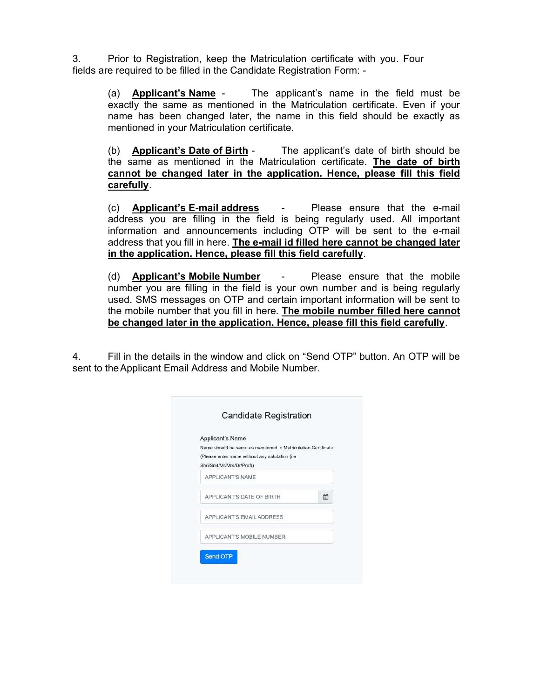3. Prior to Registration, keep the Matriculation certificate with you. Four fields are required to be filled in the Candidate Registration Form: -

> (a) Applicant's Name - The applicant's name in the field must be exactly the same as mentioned in the Matriculation certificate. Even if your name has been changed later, the name in this field should be exactly as mentioned in your Matriculation certificate.

> (b) Applicant's Date of Birth - The applicant's date of birth should be the same as mentioned in the Matriculation certificate. The date of birth cannot be changed later in the application. Hence, please fill this field carefully.

> (c) Applicant's E-mail address - Please ensure that the e-mail address you are filling in the field is being regularly used. All important information and announcements including OTP will be sent to the e-mail address that you fill in here. The e-mail id filled here cannot be changed later in the application. Hence, please fill this field carefully.

> (d) Applicant's Mobile Number - Please ensure that the mobile number you are filling in the field is your own number and is being regularly used. SMS messages on OTP and certain important information will be sent to the mobile number that you fill in here. The mobile number filled here cannot be changed later in the application. Hence, please fill this field carefully.

4. Fill in the details in the window and click on "Send OTP" button. An OTP will be sent to the Applicant Email Address and Mobile Number.

| Applicant's Name                                                                                                 |   |
|------------------------------------------------------------------------------------------------------------------|---|
| Name should be same as mentioned in Matriculation Certificate<br>(Please enter name without any salutation (i.e. |   |
| Shri/Smt/Mr/Mrs/Dr/Prof))                                                                                        |   |
| APPLICANT'S NAME                                                                                                 |   |
| APPLICANT'S DATE OF BIRTH                                                                                        | m |
| APPLICANT'S EMAIL ADDRESS                                                                                        |   |
| APPLICANT'S MOBILE NUMBER                                                                                        |   |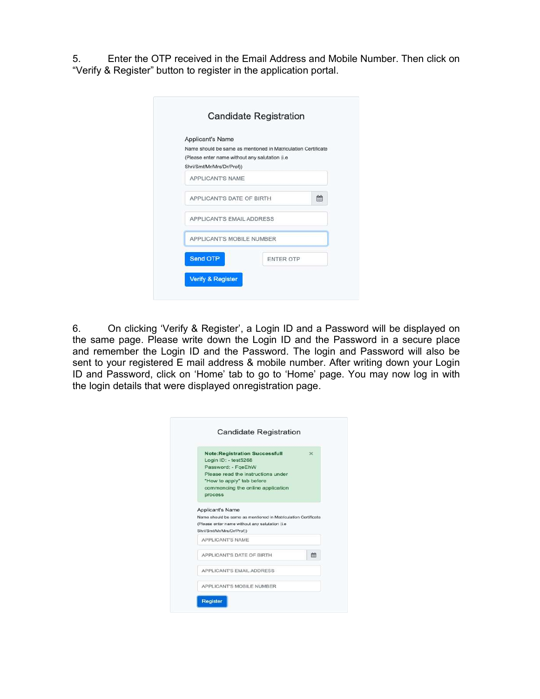5. Enter the OTP received in the Email Address and Mobile Number. Then click on "Verify & Register" button to register in the application portal.

| Applicant's Name                                                             |                                                               |
|------------------------------------------------------------------------------|---------------------------------------------------------------|
|                                                                              | Name should be same as mentioned in Matriculation Certificate |
| (Please enter name without any salutation (i.e.<br>Shri/Smt/Mr/Mrs/Dr/Prof)) |                                                               |
| APPLICANT'S NAME                                                             |                                                               |
| APPLICANT'S DATE OF BIRTH                                                    | m                                                             |
| APPLICANT'S EMAIL ADDRESS                                                    |                                                               |
| APPLICANT'S MOBILE NUMBER                                                    |                                                               |
| Send OTP                                                                     | <b>ENTER OTP</b>                                              |

6. On clicking 'Verify & Register', a Login ID and a Password will be displayed on the same page. Please write down the Login ID and the Password in a secure place and remember the Login ID and the Password. The login and Password will also be sent to your registered E mail address & mobile number. After writing down your Login ID and Password, click on 'Home' tab to go to 'Home' page. You may now log in with the login details that were displayed on registration page.

| <b>Note:Registration Successfull</b><br>Login ID: - test5268<br>Password: - FgeEhW<br>Please read the instructions under<br>"How to apply" tab before<br>commencing the online application<br>process | $\infty$ |
|-------------------------------------------------------------------------------------------------------------------------------------------------------------------------------------------------------|----------|
|                                                                                                                                                                                                       |          |
| Applicant's Name<br>Name should be same as mentioned in Matriculation Certificate<br>(Please enter name without any salutation (i.e.<br>Shri/Smt/Mr/Mrs/Dr/Prof))                                     |          |
| <b>APPLICANT'S NAME</b>                                                                                                                                                                               |          |
| APPLICANT'S DATE OF BIRTH.                                                                                                                                                                            | 畾        |
| APPLICANT'S EMAIL ADDRESS                                                                                                                                                                             |          |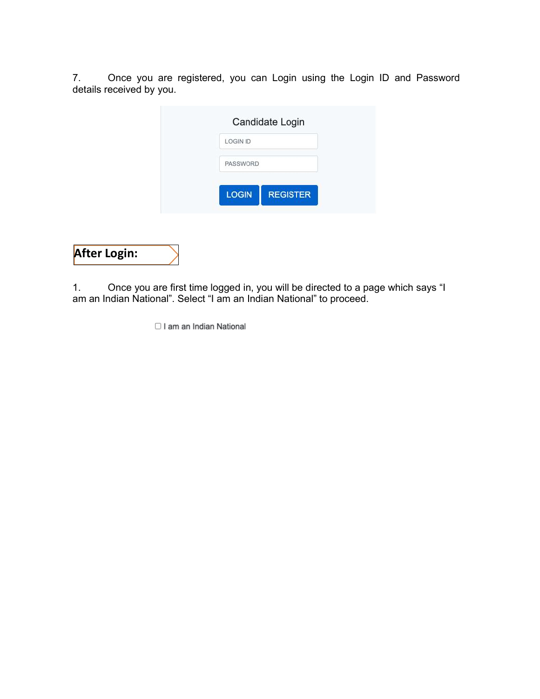7. Once you are registered, you can Login using the Login ID and Password details received by you.

| <b>LOGIN ID</b> | Candidate Login |  |
|-----------------|-----------------|--|
|                 |                 |  |
| PASSWORD        |                 |  |
|                 |                 |  |
| <b>LOGIN</b>    | <b>REGISTER</b> |  |

### After Login:

1. Once you are first time logged in, you will be directed to a page which says "I am an Indian National". Select "I am an Indian National" to proceed.

I am an Indian National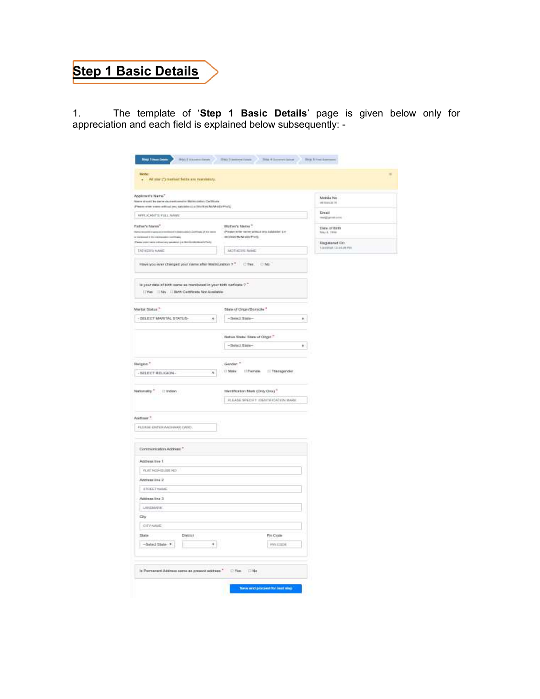### Step 1 Basic Details

1. The template of 'Step 1 Basic Details' page is given below only for appreciation and each field is explained below subsequently: -

| abobe:<br>. At my (") marked Seits are marketing.                                                                                                                        |                                                                             |                                                 |
|--------------------------------------------------------------------------------------------------------------------------------------------------------------------------|-----------------------------------------------------------------------------|-------------------------------------------------|
| Applicant's Name".<br>are shown by paint its instituted in Materialian Continues<br>are only come without any subcode ( ) a literature M-W-ED-Y-VQ                       |                                                                             | Mobile No.<br><b>HETERATS</b>                   |
| KPRUCANTS FULL NAME                                                                                                                                                      |                                                                             | Erral                                           |
| Father's Neres".                                                                                                                                                         | : Matten's Netse"                                                           | med by column                                   |
| or Minister manual continued in Branchard and Continues of the newer<br>in the binned it the exchanges on<br>Painterest two education painters in bettering to the first | (Please write name attitud and Asialistici (Le-<br><b>INTERNATIONAL</b>     | Data of Birth<br>May 8, 1916<br>Registered Orr. |
| <b>ENTHER'S MAKE</b>                                                                                                                                                     | <b>MOTHERS MAKE</b>                                                         | trastege, called permit                         |
| Have you over cheeged your networker Memodelion ?" Chine  C No.                                                                                                          |                                                                             |                                                 |
| la your date of birth same as mentioned in your birth certains ? "<br>[TVies   TMg   CTBrth Certificate Not Available                                                    |                                                                             |                                                 |
| <b>Market Status</b> ."                                                                                                                                                  | State of Origin/Bonicile "                                                  |                                                 |
| - SELECT MARITAL STATUS-<br>$\mathcal{R}$                                                                                                                                | $-5$ minct State $-$<br>$\mathbb{R}^3$                                      |                                                 |
|                                                                                                                                                                          | Native State/ State of Origin."                                             |                                                 |
|                                                                                                                                                                          | $-5$ elact Blate-<br>¥.                                                     |                                                 |
| Religion."                                                                                                                                                               | Gerden <sup>4</sup>                                                         |                                                 |
| $-BELECT HELIGGOM$                                                                                                                                                       | $\overline{\mathbf{a}}$ . $\Box$ Make . $\Box$ Premate . $\Box$ Thempsonder |                                                 |
| Nationality," [2 Indian]                                                                                                                                                 | mentheston Mork (Only Ora) <sup>11</sup>                                    |                                                 |
|                                                                                                                                                                          | REGASE SPECIFY IDENTIFICATION MARK                                          |                                                 |
| And mor *                                                                                                                                                                |                                                                             |                                                 |
| FLEASE ENTER ANGHANS CARD                                                                                                                                                |                                                                             |                                                 |
| Contramication Address *                                                                                                                                                 |                                                                             |                                                 |
| Address two 1                                                                                                                                                            |                                                                             |                                                 |
| FLAT NOR-ITLINE NO                                                                                                                                                       |                                                                             |                                                 |
| Address low 2<br><b>STREET NAME</b>                                                                                                                                      |                                                                             |                                                 |
| Address that 3                                                                                                                                                           |                                                                             |                                                 |
| LANDMARK)                                                                                                                                                                |                                                                             |                                                 |
| City                                                                                                                                                                     |                                                                             |                                                 |
| CITY/WAIE                                                                                                                                                                |                                                                             |                                                 |
| <b>Diate</b><br>Dietrici                                                                                                                                                 | Pie Com-                                                                    |                                                 |
| $-5$ elect State $-9$<br>$^{*}$                                                                                                                                          | PWDIING                                                                     |                                                 |
| is Permanant Address serve as present address." [7] Yes. [7] No.                                                                                                         |                                                                             |                                                 |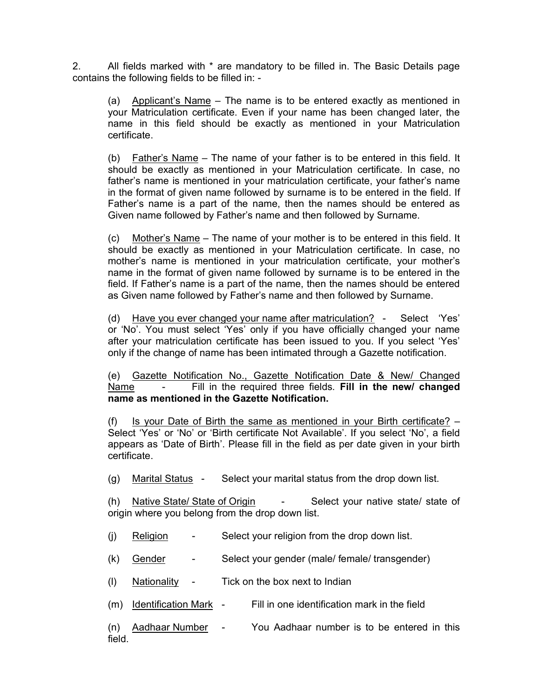2. All fields marked with \* are mandatory to be filled in. The Basic Details page contains the following fields to be filled in: -

 (a) Applicant's Name – The name is to be entered exactly as mentioned in your Matriculation certificate. Even if your name has been changed later, the name in this field should be exactly as mentioned in your Matriculation certificate.

 (b) Father's Name – The name of your father is to be entered in this field. It should be exactly as mentioned in your Matriculation certificate. In case, no father's name is mentioned in your matriculation certificate, your father's name in the format of given name followed by surname is to be entered in the field. If Father's name is a part of the name, then the names should be entered as Given name followed by Father's name and then followed by Surname.

 (c) Mother's Name – The name of your mother is to be entered in this field. It should be exactly as mentioned in your Matriculation certificate. In case, no mother's name is mentioned in your matriculation certificate, your mother's name in the format of given name followed by surname is to be entered in the field. If Father's name is a part of the name, then the names should be entered as Given name followed by Father's name and then followed by Surname.

 (d) Have you ever changed your name after matriculation? - Select 'Yes' or 'No'. You must select 'Yes' only if you have officially changed your name after your matriculation certificate has been issued to you. If you select 'Yes' only if the change of name has been intimated through a Gazette notification.

 (e) Gazette Notification No., Gazette Notification Date & New/ Changed Name - Fill in the required three fields. Fill in the new/ changed name as mentioned in the Gazette Notification.

(f) Is your Date of Birth the same as mentioned in your Birth certificate?  $-$ Select 'Yes' or 'No' or 'Birth certificate Not Available'. If you select 'No', a field appears as 'Date of Birth'. Please fill in the field as per date given in your birth certificate.

(g) Marital Status - Select your marital status from the drop down list.

 (h) Native State/ State of Origin - Select your native state/ state of origin where you belong from the drop down list.

- (j) Religion Select your religion from the drop down list.
- (k) Gender Select your gender (male/ female/ transgender)
- (l) Nationality Tick on the box next to Indian
- (m) Identification Mark Fill in one identification mark in the field
- (n) Aadhaar Number You Aadhaar number is to be entered in this field.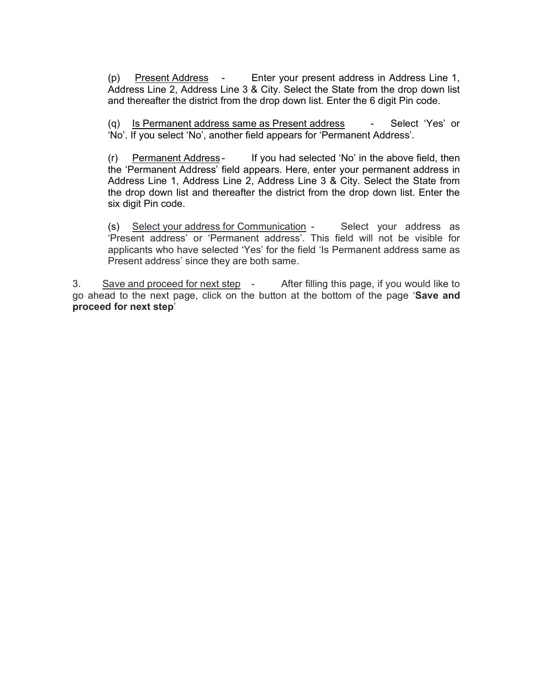(p) Present Address - Enter your present address in Address Line 1, Address Line 2, Address Line 3 & City. Select the State from the drop down list and thereafter the district from the drop down list. Enter the 6 digit Pin code.

(q) Is Permanent address same as Present address - Select 'Yes' or 'No'. If you select 'No', another field appears for 'Permanent Address'.

 (r) Permanent Address - If you had selected 'No' in the above field, then the 'Permanent Address' field appears. Here, enter your permanent address in Address Line 1, Address Line 2, Address Line 3 & City. Select the State from the drop down list and thereafter the district from the drop down list. Enter the six digit Pin code.

(s) Select your address for Communication - Select your address as 'Present address' or 'Permanent address'. This field will not be visible for applicants who have selected 'Yes' for the field 'Is Permanent address same as Present address' since they are both same.

3. Save and proceed for next step - After filling this page, if you would like to go ahead to the next page, click on the button at the bottom of the page 'Save and proceed for next step'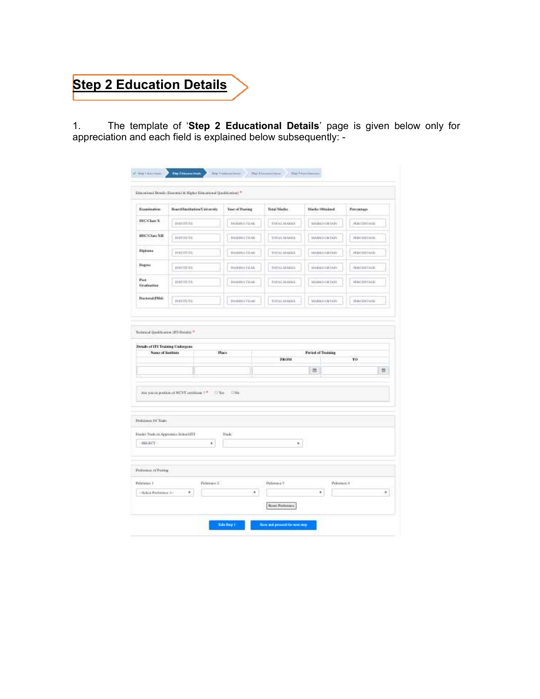## **Step 2 Education Details**

1. The template of 'Step 2 Educational Details' page is given below only for appreciation and each field is explained below subsequently: -

|                                                                              | Etiacelonal Details (Eurota) & Higher Educational Qualification; * |                          |                     |                           |                    |
|------------------------------------------------------------------------------|--------------------------------------------------------------------|--------------------------|---------------------|---------------------------|--------------------|
| Excellentine                                                                 | Burdteducker/Jerusha                                               | Year of Passing          | Total Marks         | Marks Obstant             | <b>Percentage</b>  |
| <b>SSC/Class X</b>                                                           | instructions.                                                      | <b>IABURU TEAR</b>       | forsLingui          | <b>BANKES GRENZE</b>      | PERCENTING         |
| HISTORIAN XIII                                                               | innmmml.                                                           | WARDTENE                 | TOTAL/MARKS.        | <b>HARRI GETAPE</b>       | <b>PERCONSIST</b>  |
| <b>Highway</b>                                                               | <b>INVESTIGA</b>                                                   | <b><i>BASEDITERS</i></b> | TUYALMAHA           | <b>HARRIOTETAPO</b>       | <b>HEATSTEACH</b>  |
| Digrim                                                                       | PRETIUIS                                                           | <b>AND IVITY LAB</b>     | <b>DITALMARKE</b>   | <b><i>VIARRAGEDUN</i></b> | <b>HACKSTALE</b>   |
| Post<br>Graduation                                                           | <i><b>INSTURITS</b></i>                                            | <b>MARRITEGIA</b>        | <b>TOTAL SCUELS</b> | <b>NAVARE CREWER</b>      | <b>HEATSHIRES</b>  |
| <b>Bustonal (FHA)</b>                                                        | statumms.                                                          | PASSENT TEAM             | TOTAL MARKS         | MARKEGREAD                | <b>INSURANTING</b> |
| Name of features                                                             | Place                                                              |                          |                     | <b>Firind of Training</b> |                    |
|                                                                              |                                                                    |                          | <b>SRON</b>         |                           | TO <sub>1</sub>    |
|                                                                              | Are sold by position of NCVT certificate 1 *<br>10 Year            | F3 No                    |                     | 軍                         | 匝                  |
| <b>Details of ETI Training Undergone</b><br>Professor Of Todo<br>$-533, 347$ | Forder Trade in Approvises School ITT<br>٠                         | Trade                    | ×.                  |                           |                    |
|                                                                              |                                                                    |                          |                     |                           |                    |
| Policeus of Paring<br>Perferience: 1<br>-Scien Profetious 3-                 | Petersus 2<br>$\mathbb{R}^+$                                       | ٠                        | Pulleton 4 V        | Pelicensid M<br>×         | 墩                  |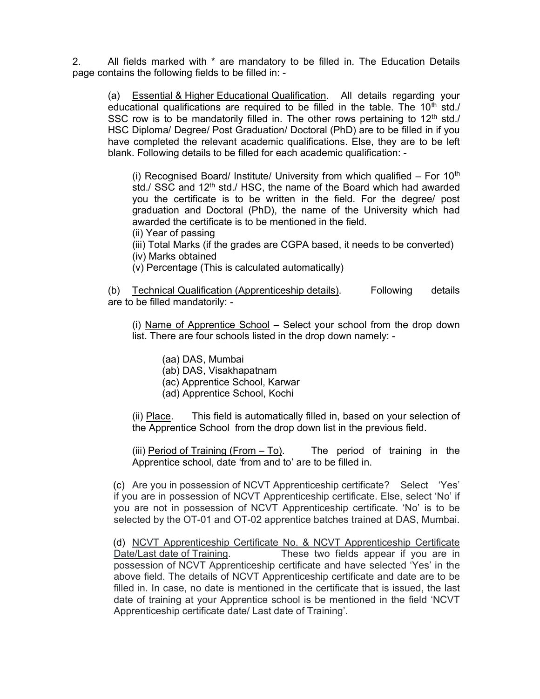2. All fields marked with \* are mandatory to be filled in. The Education Details page contains the following fields to be filled in: -

 (a) Essential & Higher Educational Qualification. All details regarding your educational qualifications are required to be filled in the table. The  $10<sup>th</sup>$  std./ SSC row is to be mandatorily filled in. The other rows pertaining to  $12<sup>th</sup>$  std./ HSC Diploma/ Degree/ Post Graduation/ Doctoral (PhD) are to be filled in if you have completed the relevant academic qualifications. Else, they are to be left blank. Following details to be filled for each academic qualification: -

(i) Recognised Board/ Institute/ University from which qualified  $-$  For 10<sup>th</sup> std./ SSC and 12<sup>th</sup> std./ HSC, the name of the Board which had awarded you the certificate is to be written in the field. For the degree/ post graduation and Doctoral (PhD), the name of the University which had awarded the certificate is to be mentioned in the field.

- (ii) Year of passing
- (iii) Total Marks (if the grades are CGPA based, it needs to be converted)
- (iv) Marks obtained
- (v) Percentage (This is calculated automatically)

 (b) Technical Qualification (Apprenticeship details). Following details are to be filled mandatorily: -

(i) Name of Apprentice School – Select your school from the drop down list. There are four schools listed in the drop down namely: -

- (aa) DAS, Mumbai
- (ab) DAS, Visakhapatnam
- (ac) Apprentice School, Karwar
- (ad) Apprentice School, Kochi

 (ii) Place. This field is automatically filled in, based on your selection of the Apprentice School from the drop down list in the previous field.

 (iii) Period of Training (From – To). The period of training in the Apprentice school, date 'from and to' are to be filled in.

 (c) Are you in possession of NCVT Apprenticeship certificate? Select 'Yes' if you are in possession of NCVT Apprenticeship certificate. Else, select 'No' if you are not in possession of NCVT Apprenticeship certificate. 'No' is to be selected by the OT-01 and OT-02 apprentice batches trained at DAS, Mumbai.

 (d) NCVT Apprenticeship Certificate No. & NCVT Apprenticeship Certificate Date/Last date of Training. These two fields appear if you are in possession of NCVT Apprenticeship certificate and have selected 'Yes' in the above field. The details of NCVT Apprenticeship certificate and date are to be filled in. In case, no date is mentioned in the certificate that is issued, the last date of training at your Apprentice school is be mentioned in the field 'NCVT Apprenticeship certificate date/ Last date of Training'.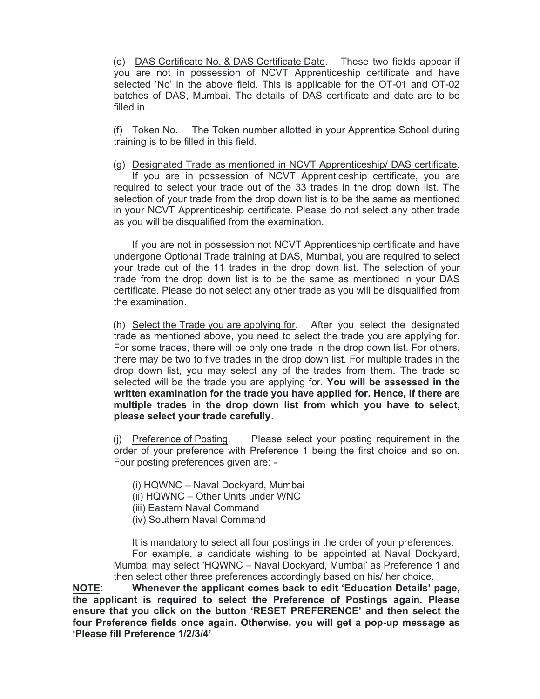(e) DAS Certificate No. & DAS Certificate Date. These two fields appear if you are not in possession of NCVT Apprenticeship certificate and have selected 'No' in the above field. This is applicable for the OT-01 and OT-02 batches of DAS, Mumbai. The details of DAS certificate and date are to be filled in.

 (f) Token No. The Token number allotted in your Apprentice School during training is to be filled in this field.

 (g) Designated Trade as mentioned in NCVT Apprenticeship/ DAS certificate. If you are in possession of NCVT Apprenticeship certificate, you are required to select your trade out of the 33 trades in the drop down list. The selection of your trade from the drop down list is to be the same as mentioned in your NCVT Apprenticeship certificate. Please do not select any other trade as you will be disqualified from the examination.

 If you are not in possession not NCVT Apprenticeship certificate and have undergone Optional Trade training at DAS, Mumbai, you are required to select your trade out of the 11 trades in the drop down list. The selection of your trade from the drop down list is to be the same as mentioned in your DAS certificate. Please do not select any other trade as you will be disqualified from the examination.

 (h) Select the Trade you are applying for. After you select the designated trade as mentioned above, you need to select the trade you are applying for. For some trades, there will be only one trade in the drop down list. For others, there may be two to five trades in the drop down list. For multiple trades in the drop down list, you may select any of the trades from them. The trade so selected will be the trade you are applying for. You will be assessed in the written examination for the trade you have applied for. Hence, if there are multiple trades in the drop down list from which you have to select, please select your trade carefully.

 (j) Preference of Posting. Please select your posting requirement in the order of your preference with Preference 1 being the first choice and so on. Four posting preferences given are: -

(i) HQWNC – Naval Dockyard, Mumbai

(ii) HQWNC – Other Units under WNC

- (iii) Eastern Naval Command
- (iv) Southern Naval Command

It is mandatory to select all four postings in the order of your preferences.

 For example, a candidate wishing to be appointed at Naval Dockyard, Mumbai may select 'HQWNC – Naval Dockyard, Mumbai' as Preference 1 and then select other three preferences accordingly based on his/ her choice.

NOTE: Whenever the applicant comes back to edit 'Education Details' page, the applicant is required to select the Preference of Postings again. Please ensure that you click on the button 'RESET PREFERENCE' and then select the four Preference fields once again. Otherwise, you will get a pop-up message as 'Please fill Preference 1/2/3/4'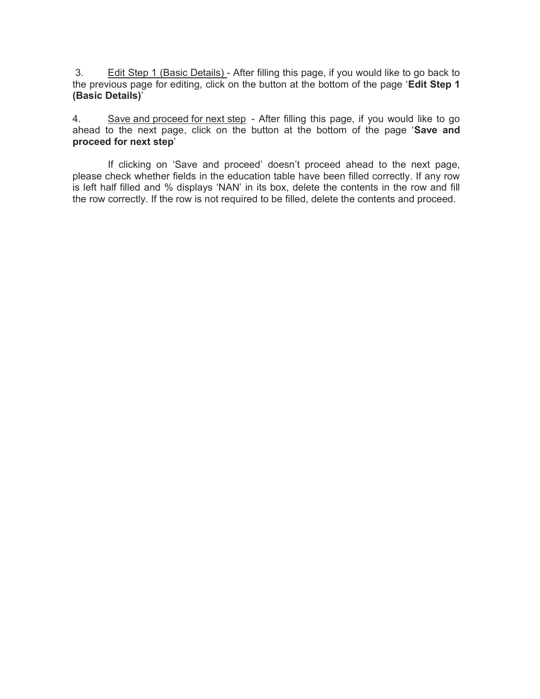3. Edit Step 1 (Basic Details) - After filling this page, if you would like to go back to the previous page for editing, click on the button at the bottom of the page 'Edit Step 1 (Basic Details)'

4. Save and proceed for next step - After filling this page, if you would like to go ahead to the next page, click on the button at the bottom of the page 'Save and proceed for next step'

 If clicking on 'Save and proceed' doesn't proceed ahead to the next page, please check whether fields in the education table have been filled correctly. If any row is left half filled and % displays 'NAN' in its box, delete the contents in the row and fill the row correctly. If the row is not required to be filled, delete the contents and proceed.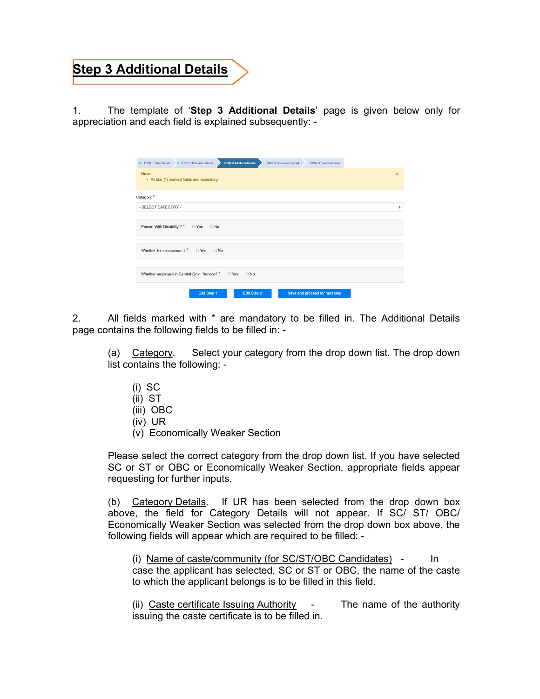## **Step 3 Additional Details**

1. The template of 'Step 3 Additional Details' page is given below only for appreciation and each field is explained subsequently: -

| <b>Step 3 Additional Details</b><br>Step 2 Education Details<br>Step 1 Basic Details<br>Step 4 Document Upload<br>Step 5 Final Submission |                         |
|-------------------------------------------------------------------------------------------------------------------------------------------|-------------------------|
| Note:<br>- All star (*) marked fields are mandatory.                                                                                      | $\overline{\mathbf{x}}$ |
| Category <sup>*</sup>                                                                                                                     |                         |
| - SELECT CATEGORY -                                                                                                                       |                         |
| Person With Disability ?* O Yes O No                                                                                                      |                         |
| Whether Ex-serviceman?* OYes ONo                                                                                                          |                         |
| Whether employed in Central Govt. Service? * O Yes O No                                                                                   |                         |
| Save and proceed for next step<br>Edit Step 1<br>Edit Step 2                                                                              |                         |

2. All fields marked with \* are mandatory to be filled in. The Additional Details page contains the following fields to be filled in: -

(a) Category. Select your category from the drop down list. The drop down list contains the following: -

- (i) SC
- (ii) ST
- (iii) OBC
- (iv) UR
- (v) Economically Weaker Section

Please select the correct category from the drop down list. If you have selected SC or ST or OBC or Economically Weaker Section, appropriate fields appear requesting for further inputs.

 (b) Category Details. If UR has been selected from the drop down box above, the field for Category Details will not appear. If SC/ ST/ OBC/ Economically Weaker Section was selected from the drop down box above, the following fields will appear which are required to be filled: -

 (i) Name of caste/community (for SC/ST/OBC Candidates) - In case the applicant has selected, SC or ST or OBC, the name of the caste to which the applicant belongs is to be filled in this field.

 (ii) Caste certificate Issuing Authority - The name of the authority issuing the caste certificate is to be filled in.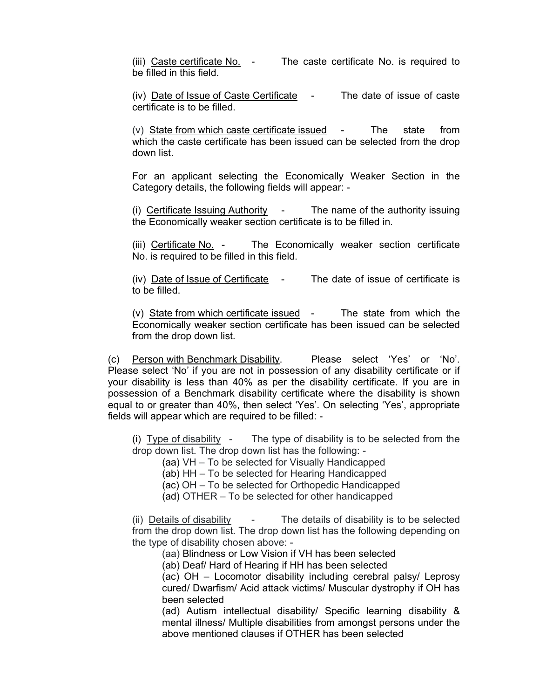(iii) Caste certificate No. - The caste certificate No. is required to be filled in this field.

(iv) Date of Issue of Caste Certificate - The date of issue of caste certificate is to be filled.

 (v) State from which caste certificate issued - The state from which the caste certificate has been issued can be selected from the drop down list.

 For an applicant selecting the Economically Weaker Section in the Category details, the following fields will appear: -

 (i) Certificate Issuing Authority - The name of the authority issuing the Economically weaker section certificate is to be filled in.

 (iii) Certificate No. - The Economically weaker section certificate No. is required to be filled in this field.

 (iv) Date of Issue of Certificate - The date of issue of certificate is to be filled.

 (v) State from which certificate issued - The state from which the Economically weaker section certificate has been issued can be selected from the drop down list.

 (c) Person with Benchmark Disability. Please select 'Yes' or 'No'. Please select 'No' if you are not in possession of any disability certificate or if your disability is less than 40% as per the disability certificate. If you are in possession of a Benchmark disability certificate where the disability is shown equal to or greater than 40%, then select 'Yes'. On selecting 'Yes', appropriate fields will appear which are required to be filled: -

(i) Type of disability - The type of disability is to be selected from the drop down list. The drop down list has the following: -

(aa) VH – To be selected for Visually Handicapped

(ab) HH – To be selected for Hearing Handicapped

(ac) OH – To be selected for Orthopedic Handicapped

(ad) OTHER – To be selected for other handicapped

 (ii) Details of disability - The details of disability is to be selected from the drop down list. The drop down list has the following depending on the type of disability chosen above: -

(aa) Blindness or Low Vision if VH has been selected

(ab) Deaf/ Hard of Hearing if HH has been selected

 (ac) OH – Locomotor disability including cerebral palsy/ Leprosy cured/ Dwarfism/ Acid attack victims/ Muscular dystrophy if OH has been selected

 (ad) Autism intellectual disability/ Specific learning disability & mental illness/ Multiple disabilities from amongst persons under the above mentioned clauses if OTHER has been selected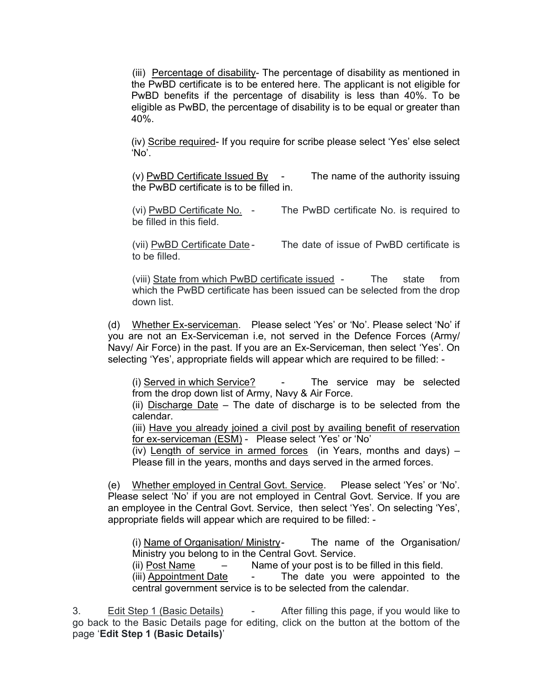(iii) Percentage of disability- The percentage of disability as mentioned in the PwBD certificate is to be entered here. The applicant is not eligible for PwBD benefits if the percentage of disability is less than 40%. To be eligible as PwBD, the percentage of disability is to be equal or greater than 40%.

 (iv) Scribe required- If you require for scribe please select 'Yes' else select 'No'.

 (v) PwBD Certificate Issued By - The name of the authority issuing the PwBD certificate is to be filled in.

 (vi) PwBD Certificate No. - The PwBD certificate No. is required to be filled in this field.

(vii) PwBD Certificate Date - The date of issue of PwBD certificate is to be filled.

 (viii) State from which PwBD certificate issued - The state from which the PwBD certificate has been issued can be selected from the drop down list.

 (d) Whether Ex-serviceman. Please select 'Yes' or 'No'. Please select 'No' if you are not an Ex-Serviceman i.e, not served in the Defence Forces (Army/ Navy/ Air Force) in the past. If you are an Ex-Serviceman, then select 'Yes'. On selecting 'Yes', appropriate fields will appear which are required to be filled: -

 (i) Served in which Service? - The service may be selected from the drop down list of Army, Navy & Air Force.

(ii) Discharge Date – The date of discharge is to be selected from the calendar.

(iii) Have you already joined a civil post by availing benefit of reservation for ex-serviceman (ESM) - Please select 'Yes' or 'No'

(iv) Length of service in armed forces (in Years, months and days) – Please fill in the years, months and days served in the armed forces.

 (e) Whether employed in Central Govt. Service. Please select 'Yes' or 'No'. Please select 'No' if you are not employed in Central Govt. Service. If you are an employee in the Central Govt. Service, then select 'Yes'. On selecting 'Yes', appropriate fields will appear which are required to be filled: -

 (i) Name of Organisation/ Ministry - The name of the Organisation/ Ministry you belong to in the Central Govt. Service.

(ii) Post Name – Name of your post is to be filled in this field.

 (iii) Appointment Date - The date you were appointed to the central government service is to be selected from the calendar.

3. Edit Step 1 (Basic Details) - After filling this page, if you would like to go back to the Basic Details page for editing, click on the button at the bottom of the page 'Edit Step 1 (Basic Details)'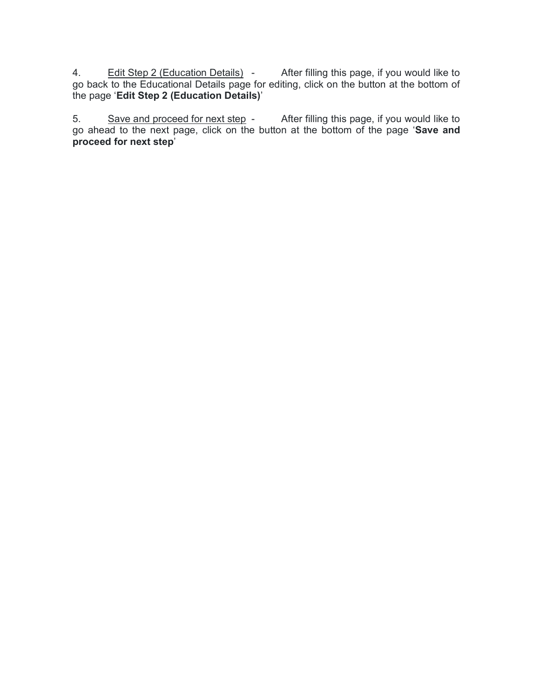4. Edit Step 2 (Education Details) - After filling this page, if you would like to go back to the Educational Details page for editing, click on the button at the bottom of the page 'Edit Step 2 (Education Details)'

5. Save and proceed for next step - After filling this page, if you would like to go ahead to the next page, click on the button at the bottom of the page 'Save and proceed for next step'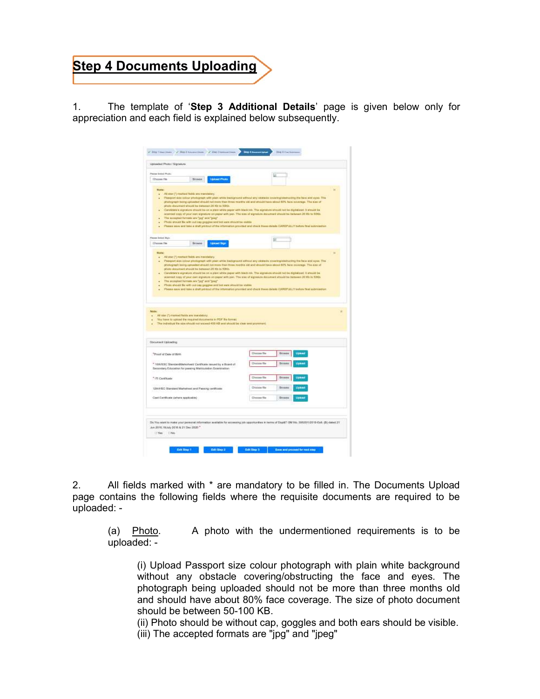# **Step 4 Documents Uploading**

1. The template of 'Step 3 Additional Details' page is given below only for appreciation and each field is explained below subsequently.

| Plates Smith Pluto                                                                                                                                                                                                                                                                                                                                                                                                                                                                                                                                                                                                           |                                                                                                                                                                                                                                                                      |
|------------------------------------------------------------------------------------------------------------------------------------------------------------------------------------------------------------------------------------------------------------------------------------------------------------------------------------------------------------------------------------------------------------------------------------------------------------------------------------------------------------------------------------------------------------------------------------------------------------------------------|----------------------------------------------------------------------------------------------------------------------------------------------------------------------------------------------------------------------------------------------------------------------|
| <b>Lipsonst Practic</b><br>Choose File<br><b>Browns</b>                                                                                                                                                                                                                                                                                                                                                                                                                                                                                                                                                                      |                                                                                                                                                                                                                                                                      |
| <b>Note:</b><br>At ear (*) reatood fishls are researainly.<br>٠<br>photograph being upliaded alloud not more than times months old and should have obout 50% face coverage. The size of<br>photo-document should be between 20 Kb to 10(0).<br>Constitute's algorizes strucklike on a pare white paper with hisck (v). The agreeast should not be digitalized 11 annulit be<br>acanned copy of your new signature crypages with sen. The size of eignature statement should be beleven 20 Kir to 50Kb.<br>The accepted function and "pig" and "ping"<br>Photo should be with out our progress well led very should be entire | u<br>Passport size colour photograph with plan while tradigraved without any electeds covering/distructing the face and eyes. The<br>Please services in the a shall protect of the information provided and direct frees datable CARDTLLLY before first submissions. |
| Please Scient Burn                                                                                                                                                                                                                                                                                                                                                                                                                                                                                                                                                                                                           |                                                                                                                                                                                                                                                                      |
| <b>Upload Sign</b><br>Choose file<br>Browns                                                                                                                                                                                                                                                                                                                                                                                                                                                                                                                                                                                  |                                                                                                                                                                                                                                                                      |
| photograph being upforded ahoud ryd more than three morths old and should have stout \$175, face coverage. The case of<br>photo document should be between 20 Kb to 1000.<br>Conclutation agenture about the sit is plain white paper with hisch rin. The algorizes about not be digital pad, it ahould be<br>٠<br>scanned bopy of your own significint involver with part. The size of significes document absold be between 20 Kb to 50Kb.<br>The percepted formate are "jug" sent "jour"<br>Photo should file with out cast paggine and but you's stoughts under-                                                         |                                                                                                                                                                                                                                                                      |
| All ster (") massed fields are mandelery.<br>You have to uptout the miguinal documents in FCF Be format.<br>The individual the stockhold not suppod 400 KB and should be clear and prominent.                                                                                                                                                                                                                                                                                                                                                                                                                                | Please seve and take a staff privileg of the information previous and chock from closes CAREPLALY select that automation                                                                                                                                             |
|                                                                                                                                                                                                                                                                                                                                                                                                                                                                                                                                                                                                                              |                                                                                                                                                                                                                                                                      |
|                                                                                                                                                                                                                                                                                                                                                                                                                                                                                                                                                                                                                              | Upland<br><b>Discopi file</b><br>Erowes                                                                                                                                                                                                                              |
| * filth/SSC Standard/Jatoiheet/Certificate issued by a Board of<br>Secondary Education for passing Matriculation Extenimation                                                                                                                                                                                                                                                                                                                                                                                                                                                                                                | <b>Chaption River</b><br>Erowes<br>Upinaz                                                                                                                                                                                                                            |
| <sup>*</sup> (1) Cartificate                                                                                                                                                                                                                                                                                                                                                                                                                                                                                                                                                                                                 | <b>Choose file</b><br>Ernaves<br>Uplian                                                                                                                                                                                                                              |
| <b>Model</b><br>٠<br>Document Uploading<br><sup>*</sup> Proof of Data of Birth<br>12th 6D Standard Marksheet and Pateing certificate                                                                                                                                                                                                                                                                                                                                                                                                                                                                                         | Chicago file<br><b>Drowes</b><br>Uppear                                                                                                                                                                                                                              |
| Cast Canibody (where spplicable)                                                                                                                                                                                                                                                                                                                                                                                                                                                                                                                                                                                             | <b>Chocoi file</b><br><b>Scower</b><br>Upaus                                                                                                                                                                                                                         |

2. All fields marked with \* are mandatory to be filled in. The Documents Upload page contains the following fields where the requisite documents are required to be uploaded: -

 (a) Photo. A photo with the undermentioned requirements is to be uploaded: -

 (i) Upload Passport size colour photograph with plain white background without any obstacle covering/obstructing the face and eyes. The photograph being uploaded should not be more than three months old and should have about 80% face coverage. The size of photo document should be between 50-100 KB.

 (ii) Photo should be without cap, goggles and both ears should be visible. (iii) The accepted formats are "jpg" and "jpeg"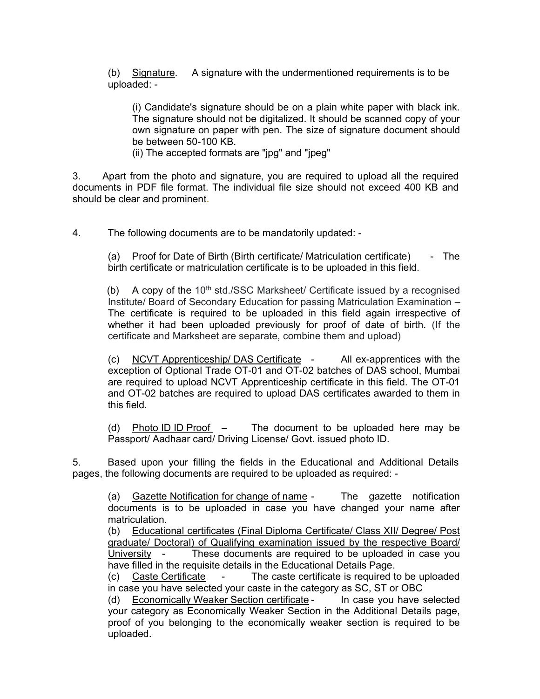(b) Signature. A signature with the undermentioned requirements is to be uploaded: -

(i) Candidate's signature should be on a plain white paper with black ink. The signature should not be digitalized. It should be scanned copy of your own signature on paper with pen. The size of signature document should be between 50-100 KB.

(ii) The accepted formats are "jpg" and "jpeg"

3. Apart from the photo and signature, you are required to upload all the required documents in PDF file format. The individual file size should not exceed 400 KB and should be clear and prominent.

4. The following documents are to be mandatorily updated: -

(a) Proof for Date of Birth (Birth certificate/ Matriculation certificate) - The birth certificate or matriculation certificate is to be uploaded in this field.

(b) A copy of the  $10<sup>th</sup>$  std./SSC Marksheet/ Certificate issued by a recognised Institute/ Board of Secondary Education for passing Matriculation Examination – The certificate is required to be uploaded in this field again irrespective of whether it had been uploaded previously for proof of date of birth. (If the certificate and Marksheet are separate, combine them and upload)

(c) NCVT Apprenticeship/ DAS Certificate - All ex-apprentices with the exception of Optional Trade OT-01 and OT-02 batches of DAS school, Mumbai are required to upload NCVT Apprenticeship certificate in this field. The OT-01 and OT-02 batches are required to upload DAS certificates awarded to them in this field.

(d) Photo ID ID Proof – The document to be uploaded here may be Passport/ Aadhaar card/ Driving License/ Govt. issued photo ID.

5. Based upon your filling the fields in the Educational and Additional Details pages, the following documents are required to be uploaded as required: -

 (a) Gazette Notification for change of name - The gazette notification documents is to be uploaded in case you have changed your name after matriculation.

 (b) Educational certificates (Final Diploma Certificate/ Class XII/ Degree/ Post graduate/ Doctoral) of Qualifying examination issued by the respective Board/ University - These documents are required to be uploaded in case you have filled in the requisite details in the Educational Details Page.

 (c) Caste Certificate - The caste certificate is required to be uploaded in case you have selected your caste in the category as SC, ST or OBC

 (d) Economically Weaker Section certificate - In case you have selected your category as Economically Weaker Section in the Additional Details page, proof of you belonging to the economically weaker section is required to be uploaded.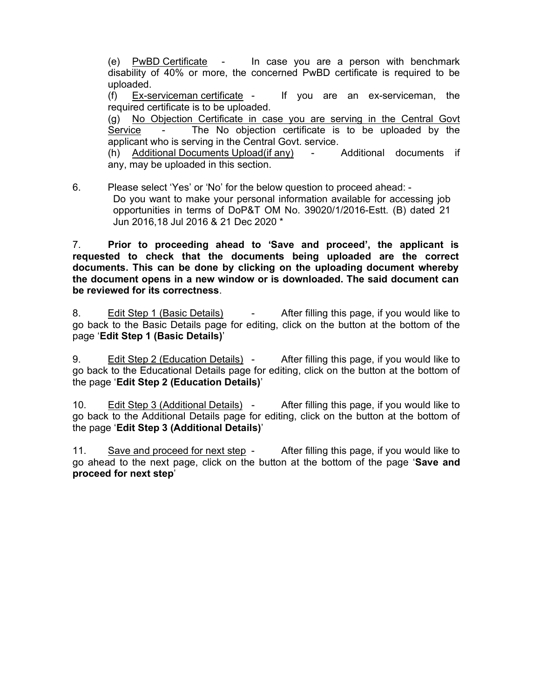(e) PwBD Certificate - In case you are a person with benchmark disability of 40% or more, the concerned PwBD certificate is required to be uploaded.

 (f) Ex-serviceman certificate - If you are an ex-serviceman, the required certificate is to be uploaded.

 (g) No Objection Certificate in case you are serving in the Central Govt Service - The No objection certificate is to be uploaded by the applicant who is serving in the Central Govt. service.

 (h) Additional Documents Upload(if any) - Additional documents if any, may be uploaded in this section.

6. Please select 'Yes' or 'No' for the below question to proceed ahead: - Do you want to make your personal information available for accessing job opportunities in terms of DoP&T OM No. 39020/1/2016-Estt. (B) dated 21 Jun 2016,18 Jul 2016 & 21 Dec 2020 \*

7. Prior to proceeding ahead to 'Save and proceed', the applicant is requested to check that the documents being uploaded are the correct documents. This can be done by clicking on the uploading document whereby the document opens in a new window or is downloaded. The said document can be reviewed for its correctness.

8. Edit Step 1 (Basic Details) - After filling this page, if you would like to go back to the Basic Details page for editing, click on the button at the bottom of the page 'Edit Step 1 (Basic Details)'

9. Edit Step 2 (Education Details) - After filling this page, if you would like to go back to the Educational Details page for editing, click on the button at the bottom of the page 'Edit Step 2 (Education Details)'

10. Edit Step 3 (Additional Details) - After filling this page, if you would like to go back to the Additional Details page for editing, click on the button at the bottom of the page 'Edit Step 3 (Additional Details)'

11. Save and proceed for next step - After filling this page, if you would like to go ahead to the next page, click on the button at the bottom of the page 'Save and proceed for next step'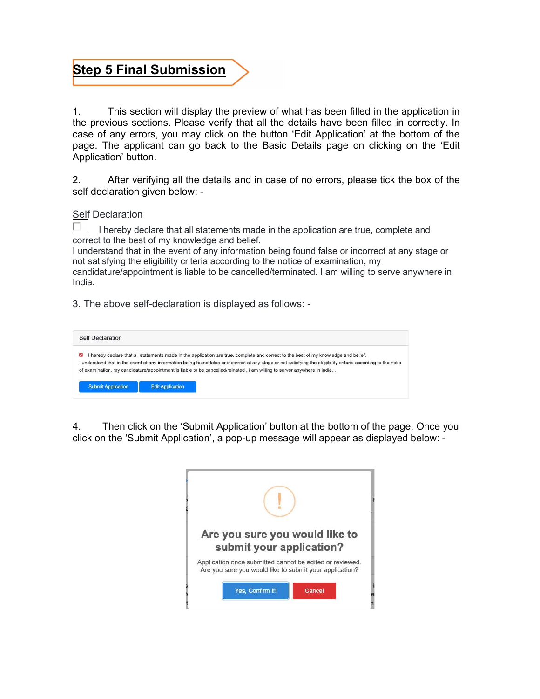### Step 5 Final Submission

1. This section will display the preview of what has been filled in the application in the previous sections. Please verify that all the details have been filled in correctly. In case of any errors, you may click on the button 'Edit Application' at the bottom of the page. The applicant can go back to the Basic Details page on clicking on the 'Edit Application' button.

2. After verifying all the details and in case of no errors, please tick the box of the self declaration given below: -

Self Declaration

 I hereby declare that all statements made in the application are true, complete and correct to the best of my knowledge and belief.

I understand that in the event of any information being found false or incorrect at any stage or not satisfying the eligibility criteria according to the notice of examination, my

candidature/appointment is liable to be cancelled/terminated. I am willing to serve anywhere in India.

3. The above self-declaration is displayed as follows: -

| Self Declaration          |                                                                                                                                                                                                                                                                                                                                                                                                                                  |  |
|---------------------------|----------------------------------------------------------------------------------------------------------------------------------------------------------------------------------------------------------------------------------------------------------------------------------------------------------------------------------------------------------------------------------------------------------------------------------|--|
| $\blacktriangleright$     | hereby declare that all statements made in the application are true, complete and correct to the best of my knowledge and belief.<br>I understand that in the event of any information being found false or incorrect at any stage or not satisfying the ekigibility criteria according to the notie<br>of examination, my candidature/appointment is liable to be cancelled/reinated, i am willing to server anywhere in india. |  |
| <b>Submit Application</b> | <b>Edit Application</b>                                                                                                                                                                                                                                                                                                                                                                                                          |  |

4. Then click on the 'Submit Application' button at the bottom of the page. Once you click on the 'Submit Application', a pop-up message will appear as displayed below: -